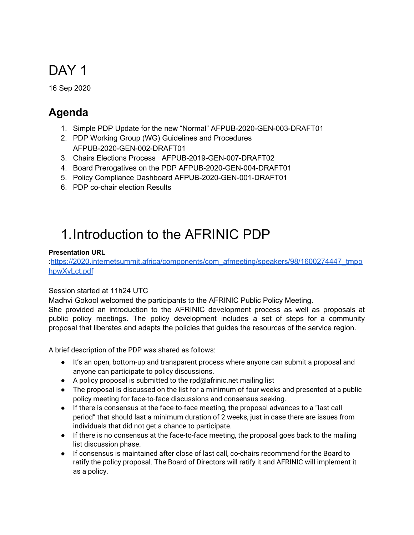# DAY<sub>1</sub>

16 Sep 2020

# **Agenda**

- 1. Simple PDP Update for the new "Normal" AFPUB-2020-GEN-003-DRAFT01
- 2. PDP Working Group (WG) Guidelines and Procedures AFPUB-2020-GEN-002-DRAFT01
- 3. Chairs Elections Process AFPUB-2019-GEN-007-DRAFT02
- 4. Board Prerogatives on the PDP AFPUB-2020-GEN-004-DRAFT01
- 5. Policy Compliance Dashboard AFPUB-2020-GEN-001-DRAFT01
- 6. PDP co-chair election Results

# 1.Introduction to the AFRINIC PDP

#### **Presentation URL**

:[https://2020.internetsummit.africa/components/com\\_afmeeting/speakers/98/1600274447\\_tmpp](https://2020.internetsummit.africa/components/com_afmeeting/speakers/98/1600274447_tmpphpwXyLct.pdf) [hpwXyLct.pdf](https://2020.internetsummit.africa/components/com_afmeeting/speakers/98/1600274447_tmpphpwXyLct.pdf)

#### Session started at 11h24 UTC

Madhvi Gokool welcomed the participants to the AFRINIC Public Policy Meeting. She provided an introduction to the AFRINIC development process as well as proposals at public policy meetings. The policy development includes a set of steps for a community proposal that liberates and adapts the policies that guides the resources of the service region.

A brief description of the PDP was shared as follows:

- It's an open, bottom-up and transparent process where anyone can submit a proposal and anyone can participate to policy discussions.
- $\bullet$  A policy proposal is submitted to the rpd@afrinic.net mailing list
- The proposal is discussed on the list for a minimum of four weeks and presented at a public policy meeting for face-to-face discussions and consensus seeking.
- If there is consensus at the face-to-face meeting, the proposal advances to a "last call period" that should last a minimum duration of 2 weeks, just in case there are issues from individuals that did not get a chance to participate.
- If there is no consensus at the face-to-face meeting, the proposal goes back to the mailing list discussion phase.
- If consensus is maintained after close of last call, co-chairs recommend for the Board to ratify the policy proposal. The Board of Directors will ratify it and AFRINIC will implement it as a policy.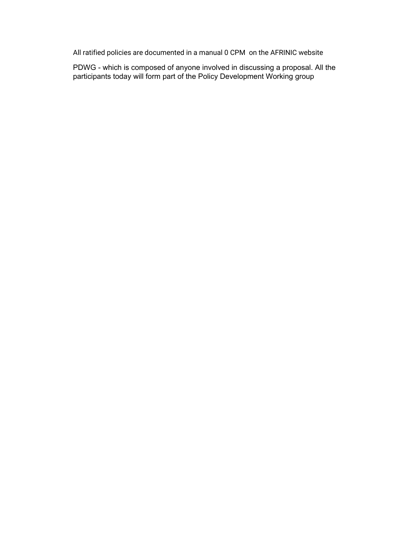All ratified policies are documented in a manual 0 CPM on the AFRINIC website

PDWG - which is composed of anyone involved in discussing a proposal. All the participants today will form part of the Policy Development Working group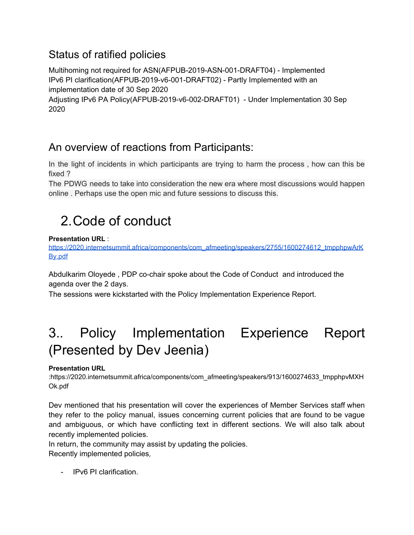## Status of ratified policies

Multihoming not required for ASN(AFPUB-2019-ASN-001-DRAFT04) - Implemented IPv6 PI clarification(AFPUB-2019-v6-001-DRAFT02) - Partly Implemented with an implementation date of 30 Sep 2020

Adjusting IPv6 PA Policy(AFPUB-2019-v6-002-DRAFT01) - Under Implementation 30 Sep 2020

## An overview of reactions from Participants:

In the light of incidents in which participants are trying to harm the process , how can this be fixed ?

The PDWG needs to take into consideration the new era where most discussions would happen online . Perhaps use the open mic and future sessions to discuss this.

# 2.Code of conduct

#### **Presentation URL** :

[https://2020.internetsummit.africa/components/com\\_afmeeting/speakers/2755/1600274612\\_tmpphpwArK](https://2020.internetsummit.africa/components/com_afmeeting/speakers/2755/1600274612_tmpphpwArKBy.pdf) [By.pdf](https://2020.internetsummit.africa/components/com_afmeeting/speakers/2755/1600274612_tmpphpwArKBy.pdf)

Abdulkarim Oloyede , PDP co-chair spoke about the Code of Conduct and introduced the agenda over the 2 days.

The sessions were kickstarted with the Policy Implementation Experience Report.

# 3.. Policy Implementation Experience Report (Presented by Dev Jeenia)

#### **Presentation URL**

:https://2020.internetsummit.africa/components/com\_afmeeting/speakers/913/1600274633\_tmpphpvMXH Ok.pdf

Dev mentioned that his presentation will cover the experiences of Member Services staff when they refer to the policy manual, issues concerning current policies that are found to be vague and ambiguous, or which have conflicting text in different sections. We will also talk about recently implemented policies.

In return, the community may assist by updating the policies.

Recently implemented policies,

- IPv6 PI clarification.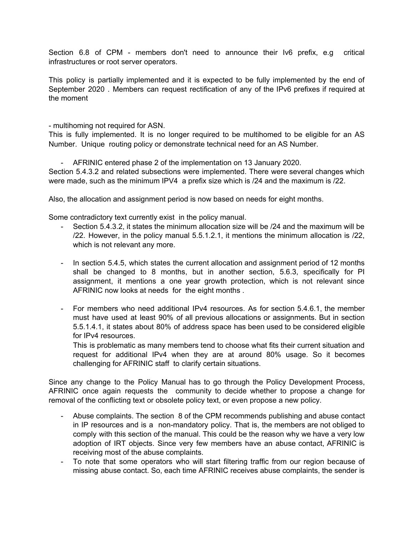Section 6.8 of CPM - members don't need to announce their Iv6 prefix, e.g critical infrastructures or root server operators.

This policy is partially implemented and it is expected to be fully implemented by the end of September 2020 . Members can request rectification of any of the IPv6 prefixes if required at the moment

- multihoming not required for ASN.

This is fully implemented. It is no longer required to be multihomed to be eligible for an AS Number. Unique routing policy or demonstrate technical need for an AS Number.

- AFRINIC entered phase 2 of the implementation on 13 January 2020.

Section 5.4.3.2 and related subsections were implemented. There were several changes which were made, such as the minimum IPV4 a prefix size which is /24 and the maximum is /22.

Also, the allocation and assignment period is now based on needs for eight months.

Some contradictory text currently exist in the policy manual.

- Section 5.4.3.2, it states the minimum allocation size will be /24 and the maximum will be /22. However, in the policy manual 5.5.1.2.1, it mentions the minimum allocation is /22, which is not relevant any more.
- In section 5.4.5, which states the current allocation and assignment period of 12 months shall be changed to 8 months, but in another section, 5.6.3, specifically for PI assignment, it mentions a one year growth protection, which is not relevant since AFRINIC now looks at needs for the eight months .
- For members who need additional IPv4 resources. As for section 5.4.6.1, the member must have used at least 90% of all previous allocations or assignments. But in section 5.5.1.4.1, it states about 80% of address space has been used to be considered eligible for IPv4 resources.

This is problematic as many members tend to choose what fits their current situation and request for additional IPv4 when they are at around 80% usage. So it becomes challenging for AFRINIC staff to clarify certain situations.

Since any change to the Policy Manual has to go through the Policy Development Process, AFRINIC once again requests the community to decide whether to propose a change for removal of the conflicting text or obsolete policy text, or even propose a new policy.

- Abuse complaints. The section 8 of the CPM recommends publishing and abuse contact in IP resources and is a non-mandatory policy. That is, the members are not obliged to comply with this section of the manual. This could be the reason why we have a very low adoption of IRT objects. Since very few members have an abuse contact, AFRINIC is receiving most of the abuse complaints.
- To note that some operators who will start filtering traffic from our region because of missing abuse contact. So, each time AFRINIC receives abuse complaints, the sender is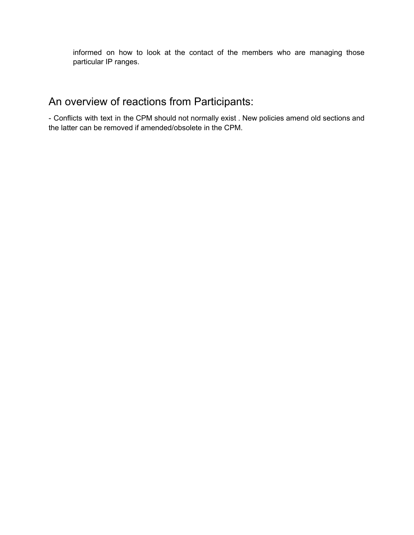informed on how to look at the contact of the members who are managing those particular IP ranges.

### An overview of reactions from Participants:

- Conflicts with text in the CPM should not normally exist . New policies amend old sections and the latter can be removed if amended/obsolete in the CPM.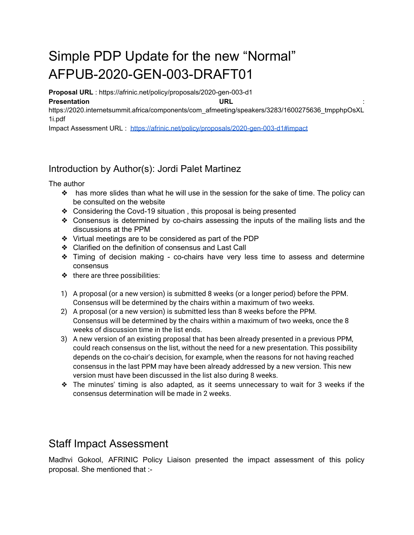# Simple PDP Update for the new "Normal" AFPUB-2020-GEN-003-DRAFT01

**Proposal URL** : https://afrinic.net/policy/proposals/2020-gen-003-d1

#### **Presentation URL**

https://2020.internetsummit.africa/components/com\_afmeeting/speakers/3283/1600275636\_tmpphpOsXL 1i.pdf

Impact Assessment URL : <https://afrinic.net/policy/proposals/2020-gen-003-d1#impact>

### Introduction by Author(s): Jordi Palet Martinez

The author

- ❖ has more slides than what he will use in the session for the sake of time. The policy can be consulted on the website
- ❖ Considering the Covd-19 situation , this proposal is being presented
- ❖ Consensus is determined by co-chairs assessing the inputs of the mailing lists and the discussions at the PPM
- ❖ Virtual meetings are to be considered as part of the PDP
- ❖ Clarified on the definition of consensus and Last Call
- ❖ Timing of decision making co-chairs have very less time to assess and determine consensus
- ❖ there are three possibilities:
- 1) A proposal (or a new version) is submitted 8 weeks (or a longer period) before the PPM. Consensus will be determined by the chairs within a maximum of two weeks.
- 2) A proposal (or a new version) is submitted less than 8 weeks before the PPM. Consensus will be determined by the chairs within a maximum of two weeks, once the 8 weeks of discussion time in the list ends.
- 3) A new version of an existing proposal that has been already presented in a previous PPM, could reach consensus on the list, without the need for a new presentation. This possibility depends on the co-chair's decision, for example, when the reasons for not having reached consensus in the last PPM may have been already addressed by a new version. This new version must have been discussed in the list also during 8 weeks.
- ❖ The minutes' timing is also adapted, as it seems unnecessary to wait for 3 weeks if the consensus determination will be made in 2 weeks.

### Staff Impact Assessment

Madhvi Gokool, AFRINIC Policy Liaison presented the impact assessment of this policy proposal. She mentioned that :-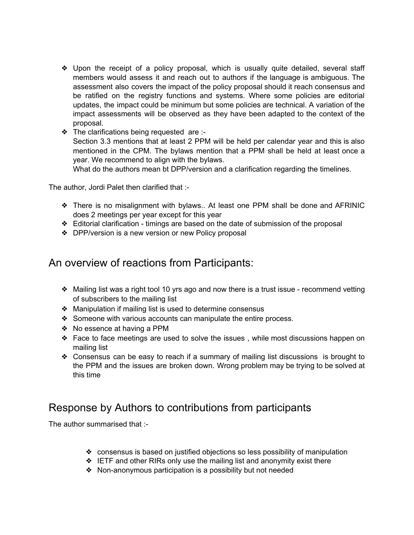- ❖ Upon the receipt of a policy proposal, which is usually quite detailed, several staff members would assess it and reach out to authors if the language is ambiguous. The assessment also covers the impact of the policy proposal should it reach consensus and be ratified on the registry functions and systems. Where some policies are editorial updates, the impact could be minimum but some policies are technical. A variation of the impact assessments will be observed as they have been adapted to the context of the proposal.
- ❖ The clarifications being requested are :-

Section 3.3 mentions that at least 2 PPM will be held per calendar year and this is also mentioned in the CPM. The bylaws mention that a PPM shall be held at least once a year. We recommend to align with the bylaws.

What do the authors mean bt DPP/version and a clarification regarding the timelines.

The author, Jordi Palet then clarified that :-

- ❖ There is no misalignment with bylaws.. At least one PPM shall be done and AFRINIC does 2 meetings per year except for this year
- ❖ Editorial clarification timings are based on the date of submission of the proposal
- ❖ DPP/version is a new version or new Policy proposal

### An overview of reactions from Participants:

- ❖ Mailing list was a right tool 10 yrs ago and now there is a trust issue recommend vetting of subscribers to the mailing list
- ❖ Manipulation if mailing list is used to determine consensus
- ❖ Someone with various accounts can manipulate the entire process.
- ❖ No essence at having a PPM
- ❖ Face to face meetings are used to solve the issues , while most discussions happen on mailing list
- ❖ Consensus can be easy to reach if a summary of mailing list discussions is brought to the PPM and the issues are broken down. Wrong problem may be trying to be solved at this time

### Response by Authors to contributions from participants

The author summarised that :-

- ❖ consensus is based on justified objections so less possibility of manipulation
- ❖ IETF and other RIRs only use the mailing list and anonymity exist there
- ❖ Non-anonymous participation is a possibility but not needed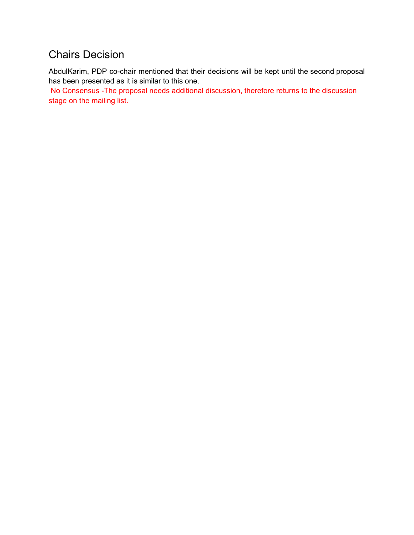## Chairs Decision

AbdulKarim, PDP co-chair mentioned that their decisions will be kept until the second proposal has been presented as it is similar to this one.

No Consensus -The proposal needs additional discussion, therefore returns to the discussion stage on the mailing list.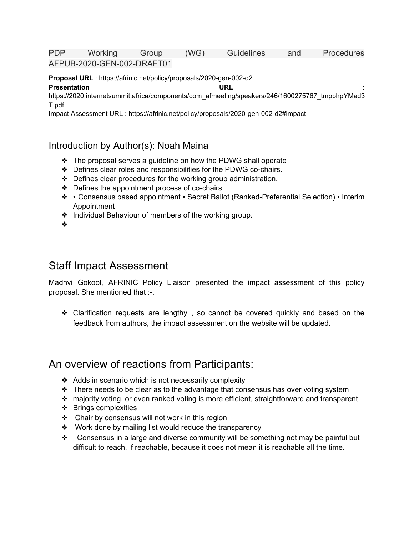PDP Working Group (WG) Guidelines and Procedures AFPUB-2020-GEN-002-DRAFT01

**Proposal URL** : https://afrinic.net/policy/proposals/2020-gen-002-d2

**Presentation URL** :

https://2020.internetsummit.africa/components/com\_afmeeting/speakers/246/1600275767\_tmpphpYMad3 T.pdf

Impact Assessment URL : https://afrinic.net/policy/proposals/2020-gen-002-d2#impact

#### Introduction by Author(s): Noah Maina

- ❖ The proposal serves a guideline on how the PDWG shall operate
- ❖ Defines clear roles and responsibilities for the PDWG co-chairs.
- ❖ Defines clear procedures for the working group administration.
- ❖ Defines the appointment process of co-chairs
- ❖ Consensus based appointment Secret Ballot (Ranked-Preferential Selection) Interim Appointment
- ❖ Individual Behaviour of members of the working group.
- ❖

### Staff Impact Assessment

Madhvi Gokool, AFRINIC Policy Liaison presented the impact assessment of this policy proposal. She mentioned that :-.

❖ Clarification requests are lengthy , so cannot be covered quickly and based on the feedback from authors, the impact assessment on the website will be updated.

### An overview of reactions from Participants:

- ❖ Adds in scenario which is not necessarily complexity
- $\triangle$  There needs to be clear as to the advantage that consensus has over voting system
- ❖ majority voting, or even ranked voting is more efficient, straightforward and transparent
- ❖ Brings complexities
- ❖ Chair by consensus will not work in this region
- ❖ Work done by mailing list would reduce the transparency
- ❖ Consensus in a large and diverse community will be something not may be painful but difficult to reach, if reachable, because it does not mean it is reachable all the time.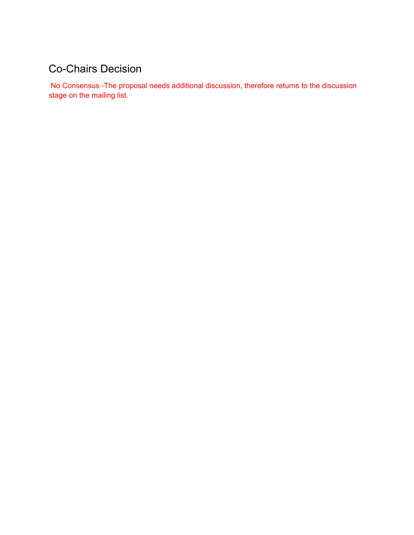# Co-Chairs Decision

No Consensus -The proposal needs additional discussion, therefore returns to the discussion stage on the mailing list.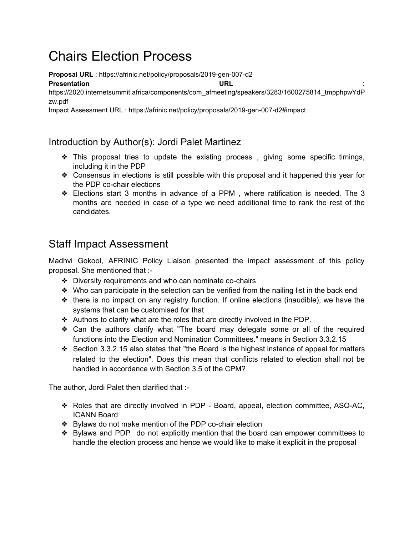# Chairs Election Process

**Proposal URL** : https://afrinic.net/policy/proposals/2019-gen-007-d2

**Presentation URL** :

https://2020.internetsummit.africa/components/com\_afmeeting/speakers/3283/1600275814\_tmpphpwYdP zw.pdf

Impact Assessment URL : https://afrinic.net/policy/proposals/2019-gen-007-d2#impact

#### Introduction by Author(s): Jordi Palet Martinez

- $\triangle$  This proposal tries to update the existing process, giving some specific timings, including it in the PDP
- ❖ Consensus in elections is still possible with this proposal and it happened this year for the PDP co-chair elections
- ❖ Elections start 3 months in advance of a PPM , where ratification is needed. The 3 months are needed in case of a type we need additional time to rank the rest of the candidates.

### Staff Impact Assessment

Madhvi Gokool, AFRINIC Policy Liaison presented the impact assessment of this policy proposal. She mentioned that :-

- ❖ Diversity requirements and who can nominate co-chairs
- ❖ Who can participate in the selection can be verified from the nailing list in the back end
- ❖ there is no impact on any registry function. If online elections (inaudible), we have the systems that can be customised for that
- ❖ Authors to clarify what are the roles that are directly involved in the PDP.
- ❖ Can the authors clarify what "The board may delegate some or all of the required functions into the Election and Nomination Committees." means in Section 3.3.2.15
- ❖ Section 3.3.2.15 also states that "the Board is the highest instance of appeal for matters related to the election". Does this mean that conflicts related to election shall not be handled in accordance with Section 3.5 of the CPM?

The author, Jordi Palet then clarified that :-

- ❖ Roles that are directly involved in PDP Board, appeal, election committee, ASO-AC, ICANN Board
- ❖ Bylaws do not make mention of the PDP co-chair election
- ❖ Bylaws and PDP do not explicitly mention that the board can empower committees to handle the election process and hence we would like to make it explicit in the proposal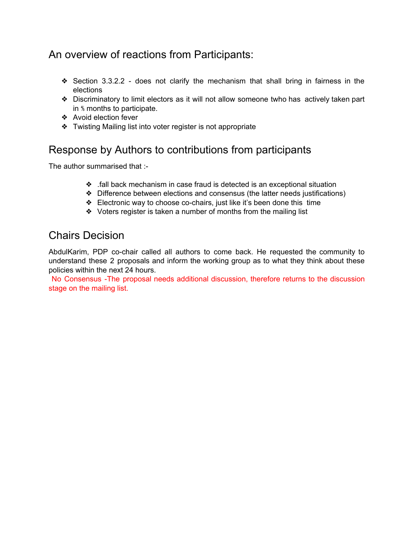## An overview of reactions from Participants:

- ❖ Section 3.3.2.2 does not clarify the mechanism that shall bring in fairness in the elections
- ❖ Discriminatory to limit electors as it will not allow someone twho has actively taken part in ⅘ months to participate.
- ❖ Avoid election fever
- ❖ Twisting Mailing list into voter register is not appropriate

### Response by Authors to contributions from participants

The author summarised that :-

- ❖ .fall back mechanism in case fraud is detected is an exceptional situation
- ❖ Difference between elections and consensus (the latter needs justifications)
- ❖ Electronic way to choose co-chairs, just like it's been done this time
- ❖ Voters register is taken a number of months from the mailing list

### Chairs Decision

AbdulKarim, PDP co-chair called all authors to come back. He requested the community to understand these 2 proposals and inform the working group as to what they think about these policies within the next 24 hours.

No Consensus -The proposal needs additional discussion, therefore returns to the discussion stage on the mailing list.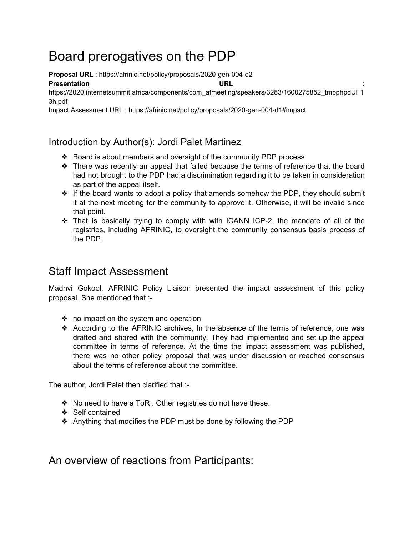# Board prerogatives on the PDP

**Proposal URL** : https://afrinic.net/policy/proposals/2020-gen-004-d2

**Presentation URL** :

https://2020.internetsummit.africa/components/com\_afmeeting/speakers/3283/1600275852\_tmpphpdUF1 3h.pdf

Impact Assessment URL : https://afrinic.net/policy/proposals/2020-gen-004-d1#impact

### Introduction by Author(s): Jordi Palet Martinez

- ❖ Board is about members and oversight of the community PDP process
- ❖ There was recently an appeal that failed because the terms of reference that the board had not brought to the PDP had a discrimination regarding it to be taken in consideration as part of the appeal itself.
- $\triangleq$  If the board wants to adopt a policy that amends somehow the PDP, they should submit it at the next meeting for the community to approve it. Otherwise, it will be invalid since that point.
- ❖ That is basically trying to comply with with ICANN ICP-2, the mandate of all of the registries, including AFRINIC, to oversight the community consensus basis process of the PDP.

## Staff Impact Assessment

Madhvi Gokool, AFRINIC Policy Liaison presented the impact assessment of this policy proposal. She mentioned that :-

- ❖ no impact on the system and operation
- ❖ According to the AFRINIC archives, In the absence of the terms of reference, one was drafted and shared with the community. They had implemented and set up the appeal committee in terms of reference. At the time the impact assessment was published, there was no other policy proposal that was under discussion or reached consensus about the terms of reference about the committee.

The author, Jordi Palet then clarified that :-

- ❖ No need to have a ToR . Other registries do not have these.
- ❖ Self contained
- ❖ Anything that modifies the PDP must be done by following the PDP

An overview of reactions from Participants: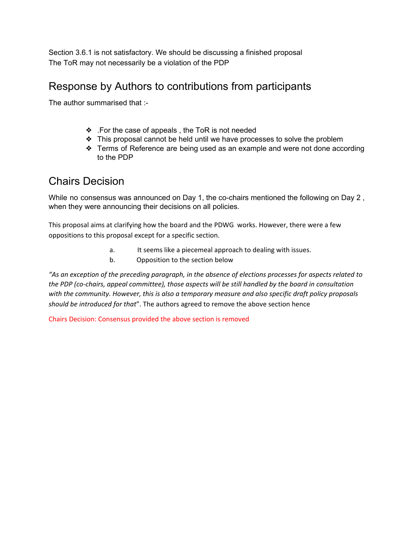Section 3.6.1 is not satisfactory. We should be discussing a finished proposal The ToR may not necessarily be a violation of the PDP

### Response by Authors to contributions from participants

The author summarised that :-

- ❖ .For the case of appeals , the ToR is not needed
- ❖ This proposal cannot be held until we have processes to solve the problem
- ❖ Terms of Reference are being used as an example and were not done according to the PDP

### Chairs Decision

While no consensus was announced on Day 1, the co-chairs mentioned the following on Day 2 , when they were announcing their decisions on all policies.

This proposal aims at clarifying how the board and the PDWG works. However, there were a few oppositions to this proposal except for a specific section.

- a. It seems like a piecemeal approach to dealing with issues.
- b. Opposition to the section below

*"As an exception of the preceding paragraph, in the absence of elections processes for aspects related to the PDP (co-chairs, appeal committee), those aspects will be still handled by the board in consultation with the community. However, this is also a temporary measure and also specific draft policy proposals should be introduced for that*". The authors agreed to remove the above section hence

Chairs Decision: Consensus provided the above section is removed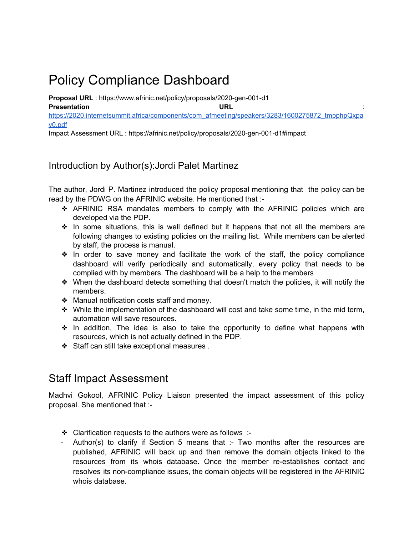# Policy Compliance Dashboard

**Proposal URL** : https://www.afrinic.net/policy/proposals/2020-gen-001-d1 **Presentation URL** [https://2020.internetsummit.africa/components/com\\_afmeeting/speakers/3283/1600275872\\_tmpphpQxpa](https://2020.internetsummit.africa/components/com_afmeeting/speakers/3283/1600275872_tmpphpQxpay0.pdf) [y0.pdf](https://2020.internetsummit.africa/components/com_afmeeting/speakers/3283/1600275872_tmpphpQxpay0.pdf)

Impact Assessment URL : https://afrinic.net/policy/proposals/2020-gen-001-d1#impact

#### Introduction by Author(s):Jordi Palet Martinez

The author, Jordi P. Martinez introduced the policy proposal mentioning that the policy can be read by the PDWG on the AFRINIC website. He mentioned that :-

- ❖ AFRINIC RSA mandates members to comply with the AFRINIC policies which are developed via the PDP.
- ❖ In some situations, this is well defined but it happens that not all the members are following changes to existing policies on the mailing list. While members can be alerted by staff, the process is manual.
- ❖ In order to save money and facilitate the work of the staff, the policy compliance dashboard will verify periodically and automatically, every policy that needs to be complied with by members. The dashboard will be a help to the members
- ❖ When the dashboard detects something that doesn't match the policies, it will notify the members.
- ❖ Manual notification costs staff and money.
- ❖ While the implementation of the dashboard will cost and take some time, in the mid term, automation will save resources.
- ❖ In addition, The idea is also to take the opportunity to define what happens with resources, which is not actually defined in the PDP.
- ❖ Staff can still take exceptional measures .

### Staff Impact Assessment

Madhvi Gokool, AFRINIC Policy Liaison presented the impact assessment of this policy proposal. She mentioned that :-

- ❖ Clarification requests to the authors were as follows :-
- Author(s) to clarify if Section 5 means that :- Two months after the resources are published, AFRINIC will back up and then remove the domain objects linked to the resources from its whois database. Once the member re-establishes contact and resolves its non-compliance issues, the domain objects will be registered in the AFRINIC whois database.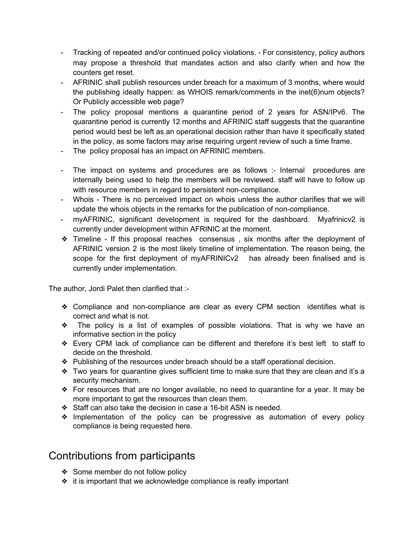- Tracking of repeated and/or continued policy violations. For consistency, policy authors may propose a threshold that mandates action and also clarify when and how the counters get reset.
- AFRINIC shall publish resources under breach for a maximum of 3 months, where would the publishing ideally happen: as WHOIS remark/comments in the inet(6)num objects? Or Publicly accessible web page?
- The policy proposal mentions a quarantine period of 2 years for ASN/IPv6. The quarantine period is currently 12 months and AFRINIC staff suggests that the quarantine period would best be left as an operational decision rather than have it specifically stated in the policy, as some factors may arise requiring urgent review of such a time frame.
- The policy proposal has an impact on AFRINIC members.
- The impact on systems and procedures are as follows :- Internal procedures are internally being used to help the members will be reviewed. staff will have to follow up with resource members in regard to persistent non-compliance.
- Whois There is no perceived impact on whois unless the author clarifies that we will update the whois objects in the remarks for the publication of non-compliance.
- myAFRINIC, significant development is required for the dashboard. Myafrinicv2 is currently under development within AFRINIC at the moment.
- ❖ Timeline If this proposal reaches consensus , six months after the deployment of AFRINIC version 2 is the most likely timeline of implementation. The reason being, the scope for the first deployment of myAFRINICv2 has already been finalised and is currently under implementation.

The author, Jordi Palet then clarified that :-

- ❖ Compliance and non-compliance are clear as every CPM section identifies what is correct and what is not.
- ❖ The policy is a list of examples of possible violations. That is why we have an informative section in the policy
- ❖ Every CPM lack of compliance can be different and therefore it's best left to staff to decide on the threshold.
- ❖ Publishing of the resources under breach should be a staff operational decision.
- ❖ Two years for quarantine gives sufficient time to make sure that they are clean and it's a security mechanism.
- ❖ For resources that are no longer available, no need to quarantine for a year. It may be more important to get the resources than clean them.
- ❖ Staff can also take the decision in case a 16-bit ASN is needed.
- ❖ Implementation of the policy can be progressive as automation of every policy compliance is being requested here.

### Contributions from participants

- ❖ Some member do not follow policy
- ❖ it is important that we acknowledge compliance is really important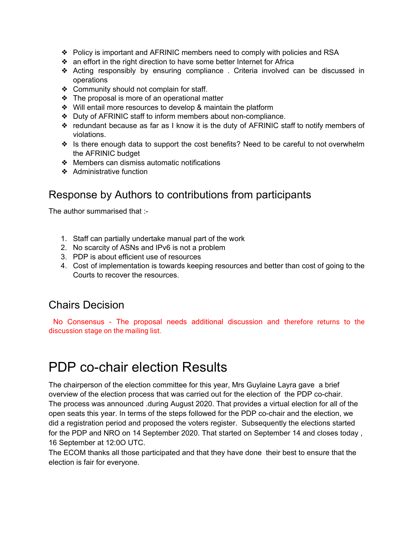- ❖ Policy is important and AFRINIC members need to comply with policies and RSA
- ❖ an effort in the right direction to have some better Internet for Africa
- ❖ Acting responsibly by ensuring compliance . Criteria involved can be discussed in operations
- ❖ Community should not complain for staff.
- ❖ The proposal is more of an operational matter
- ❖ Will entail more resources to develop & maintain the platform
- ❖ Duty of AFRINIC staff to inform members about non-compliance.
- ❖ redundant because as far as I know it is the duty of AFRINIC staff to notify members of violations.
- ❖ Is there enough data to support the cost benefits? Need to be careful to not overwhelm the AFRINIC budget
- ❖ Members can dismiss automatic notifications
- ❖ Administrative function

### Response by Authors to contributions from participants

The author summarised that :-

- 1. Staff can partially undertake manual part of the work
- 2. No scarcity of ASNs and IPv6 is not a problem
- 3. PDP is about efficient use of resources
- 4. Cost of implementation is towards keeping resources and better than cost of going to the Courts to recover the resources.

### Chairs Decision

No Consensus - The proposal needs additional discussion and therefore returns to the discussion stage on the mailing list.

# PDP co-chair election Results

The chairperson of the election committee for this year, Mrs Guylaine Layra gave a brief overview of the election process that was carried out for the election of the PDP co-chair. The process was announced .during August 2020. That provides a virtual election for all of the open seats this year. In terms of the steps followed for the PDP co-chair and the election, we did a registration period and proposed the voters register. Subsequently the elections started for the PDP and NRO on 14 September 2020. That started on September 14 and closes today , 16 September at 12:0O UTC.

The ECOM thanks all those participated and that they have done their best to ensure that the election is fair for everyone.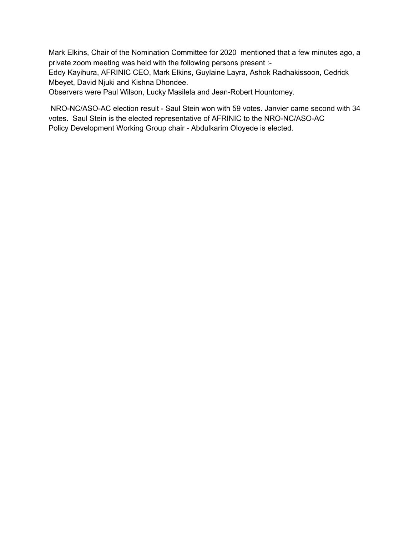Mark Elkins, Chair of the Nomination Committee for 2020 mentioned that a few minutes ago, a private zoom meeting was held with the following persons present :-

Eddy Kayihura, AFRINIC CEO, Mark Elkins, Guylaine Layra, Ashok Radhakissoon, Cedrick Mbeyet, David Njuki and Kishna Dhondee.

Observers were Paul Wilson, Lucky Masilela and Jean-Robert Hountomey.

NRO-NC/ASO-AC election result - Saul Stein won with 59 votes. Janvier came second with 34 votes. Saul Stein is the elected representative of AFRINIC to the NRO-NC/ASO-AC Policy Development Working Group chair - Abdulkarim Oloyede is elected.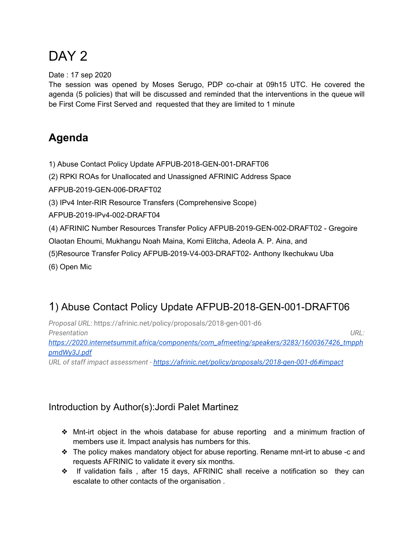# DAY<sub>2</sub>

Date : 17 sep 2020

The session was opened by Moses Serugo, PDP co-chair at 09h15 UTC. He covered the agenda (5 policies) that will be discussed and reminded that the interventions in the queue will be First Come First Served and requested that they are limited to 1 minute

## **Agenda**

1) Abuse Contact Policy Update AFPUB-2018-GEN-001-DRAFT06

(2) RPKI ROAs for Unallocated and Unassigned AFRINIC Address Space

AFPUB-2019-GEN-006-DRAFT02

(3) IPv4 Inter-RIR Resource Transfers (Comprehensive Scope)

AFPUB-2019-IPv4-002-DRAFT04

(4) AFRINIC Number Resources Transfer Policy AFPUB-2019-GEN-002-DRAFT02 - Gregoire

Olaotan Ehoumi, Mukhangu Noah Maina, Komi Elitcha, Adeola A. P. Aina, and

(5)Resource Transfer Policy AFPUB-2019-V4-003-DRAFT02- Anthony Ikechukwu Uba

(6) Open Mic

## 1) Abuse Contact Policy Update AFPUB-2018-GEN-001-DRAFT06

*Proposal URL*: https://afrinic.net/policy/proposals/2018-gen-001-d6 *Presentation URL: [https://2020.internetsummit.africa/components/com\\_afmeeting/speakers/3283/1600367426\\_tmpph](https://2020.internetsummit.africa/components/com_afmeeting/speakers/3283/1600367426_tmpphpmdWy3J.pdf) [pmdWy3J.pdf](https://2020.internetsummit.africa/components/com_afmeeting/speakers/3283/1600367426_tmpphpmdWy3J.pdf)*

*URL of staff impact assessment - <https://afrinic.net/policy/proposals/2018-gen-001-d6#impact>*

### Introduction by Author(s):Jordi Palet Martinez

- ❖ Mnt-irt object in the whois database for abuse reporting and a minimum fraction of members use it. Impact analysis has numbers for this.
- ❖ The policy makes mandatory object for abuse reporting. Rename mnt-irt to abuse -c and requests AFRINIC to validate it every six months.
- ❖ If validation fails , after 15 days, AFRINIC shall receive a notification so they can escalate to other contacts of the organisation .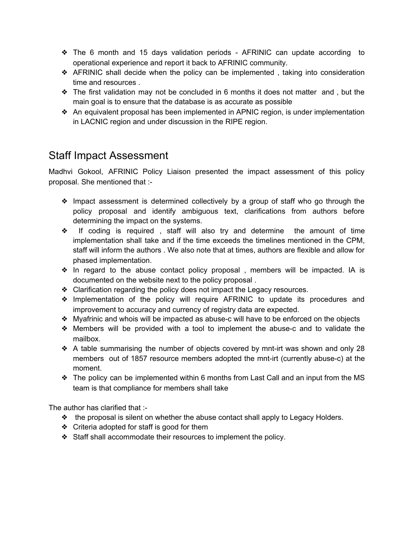- ❖ The 6 month and 15 days validation periods AFRINIC can update according to operational experience and report it back to AFRINIC community.
- ❖ AFRINIC shall decide when the policy can be implemented , taking into consideration time and resources .
- ❖ The first validation may not be concluded in 6 months it does not matter and , but the main goal is to ensure that the database is as accurate as possible
- ❖ An equivalent proposal has been implemented in APNIC region, is under implementation in LACNIC region and under discussion in the RIPE region.

### Staff Impact Assessment

Madhvi Gokool, AFRINIC Policy Liaison presented the impact assessment of this policy proposal. She mentioned that :-

- ❖ Impact assessment is determined collectively by a group of staff who go through the policy proposal and identify ambiguous text, clarifications from authors before determining the impact on the systems.
- ❖ If coding is required , staff will also try and determine the amount of time implementation shall take and if the time exceeds the timelines mentioned in the CPM, staff will inform the authors . We also note that at times, authors are flexible and allow for phased implementation.
- ❖ In regard to the abuse contact policy proposal , members will be impacted. IA is documented on the website next to the policy proposal .
- ❖ Clarification regarding the policy does not impact the Legacy resources.
- ❖ Implementation of the policy will require AFRINIC to update its procedures and improvement to accuracy and currency of registry data are expected.
- ❖ Myafrinic and whois will be impacted as abuse-c will have to be enforced on the objects
- ❖ Members will be provided with a tool to implement the abuse-c and to validate the mailbox.
- ❖ A table summarising the number of objects covered by mnt-irt was shown and only 28 members out of 1857 resource members adopted the mnt-irt (currently abuse-c) at the moment.
- ❖ The policy can be implemented within 6 months from Last Call and an input from the MS team is that compliance for members shall take

The author has clarified that :-

- ❖ the proposal is silent on whether the abuse contact shall apply to Legacy Holders.
- ❖ Criteria adopted for staff is good for them
- ❖ Staff shall accommodate their resources to implement the policy.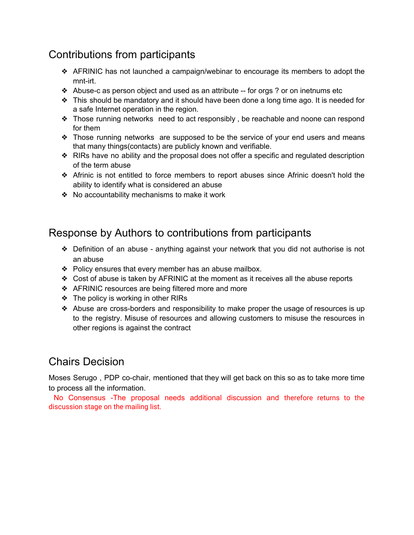## Contributions from participants

- ❖ AFRINIC has not launched a campaign/webinar to encourage its members to adopt the mnt-irt.
- $\triangleleft$  Abuse-c as person object and used as an attribute -- for orgs ? or on inetnums etc
- ❖ This should be mandatory and it should have been done a long time ago. It is needed for a safe Internet operation in the region.
- ❖ Those running networks need to act responsibly , be reachable and noone can respond for them
- ❖ Those running networks are supposed to be the service of your end users and means that many things(contacts) are publicly known and verifiable.
- ❖ RIRs have no ability and the proposal does not offer a specific and regulated description of the term abuse
- ❖ Afrinic is not entitled to force members to report abuses since Afrinic doesn't hold the ability to identify what is considered an abuse
- ❖ No accountability mechanisms to make it work

### Response by Authors to contributions from participants

- ❖ Definition of an abuse anything against your network that you did not authorise is not an abuse
- ❖ Policy ensures that every member has an abuse mailbox.
- ❖ Cost of abuse is taken by AFRINIC at the moment as it receives all the abuse reports
- ❖ AFRINIC resources are being filtered more and more
- ❖ The policy is working in other RIRs
- ❖ Abuse are cross-borders and responsibility to make proper the usage of resources is up to the registry. Misuse of resources and allowing customers to misuse the resources in other regions is against the contract

### Chairs Decision

Moses Serugo , PDP co-chair, mentioned that they will get back on this so as to take more time to process all the information.

No Consensus -The proposal needs additional discussion and therefore returns to the discussion stage on the mailing list.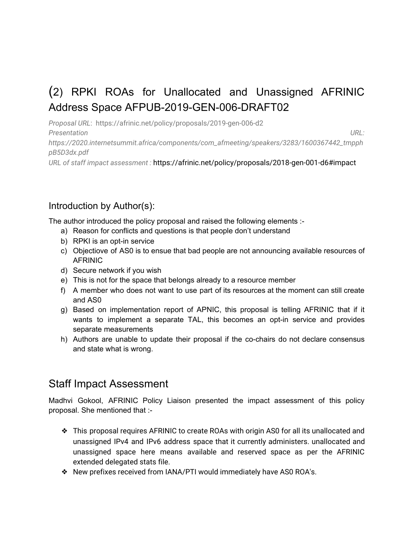# (2) RPKI ROAs for Unallocated and Unassigned AFRINIC Address Space AFPUB-2019-GEN-006-DRAFT02

*Proposal URL*: https://afrinic.net/policy/proposals/2019-gen-006-d2 *Presentation URL: https://2020.internetsummit.africa/components/com\_afmeeting/speakers/3283/1600367442\_tmpph pB5D3dx.pdf*

*URL of staff impact assessment :* https://afrinic.net/policy/proposals/2018-gen-001-d6#impact

#### Introduction by Author(s):

The author introduced the policy proposal and raised the following elements :-

- a) Reason for conflicts and questions is that people don't understand
- b) RPKI is an opt-in service
- c) Objectiove of AS0 is to ensue that bad people are not announcing available resources of AFRINIC
- d) Secure network if you wish
- e) This is not for the space that belongs already to a resource member
- f) A member who does not want to use part of its resources at the moment can still create and AS0
- g) Based on implementation report of APNIC, this proposal is telling AFRINIC that if it wants to implement a separate TAL, this becomes an opt-in service and provides separate measurements
- h) Authors are unable to update their proposal if the co-chairs do not declare consensus and state what is wrong.

### Staff Impact Assessment

Madhvi Gokool, AFRINIC Policy Liaison presented the impact assessment of this policy proposal. She mentioned that :-

- ❖ This proposal requires AFRINIC to create ROAs with origin AS0 for all its unallocated and unassigned IPv4 and IPv6 address space that it currently administers. unallocated and unassigned space here means available and reserved space as per the AFRINIC extended delegated stats file.
- ❖ New prefixes received from IANA/PTI would immediately have AS0 ROA's.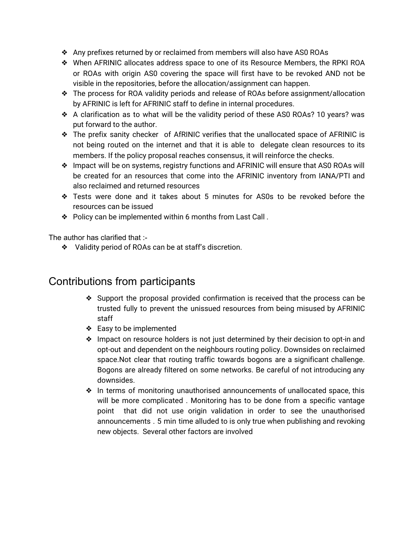- ❖ Any prefixes returned by or reclaimed from members will also have AS0 ROAs
- ❖ When AFRINIC allocates address space to one of its Resource Members, the RPKI ROA or ROAs with origin AS0 covering the space will first have to be revoked AND not be visible in the repositories, before the allocation/assignment can happen.
- ❖ The process for ROA validity periods and release of ROAs before assignment/allocation by AFRINIC is left for AFRINIC staff to define in internal procedures.
- ❖ A clarification as to what will be the validity period of these AS0 ROAs? 10 years? was put forward to the author.
- ❖ The prefix sanity checker of AfRINIC verifies that the unallocated space of AFRINIC is not being routed on the internet and that it is able to delegate clean resources to its members. If the policy proposal reaches consensus, it will reinforce the checks.
- ❖ Impact will be on systems, registry functions and AFRINIC will ensure that AS0 ROAs will be created for an resources that come into the AFRINIC inventory from IANA/PTI and also reclaimed and returned resources
- ❖ Tests were done and it takes about 5 minutes for AS0s to be revoked before the resources can be issued
- ❖ Policy can be implemented within 6 months from Last Call .

The author has clarified that :-

❖ Validity period of ROAs can be at staff's discretion.

### Contributions from participants

- ❖ Support the proposal provided confirmation is received that the process can be trusted fully to prevent the unissued resources from being misused by AFRINIC staff
- ❖ Easy to be implemented
- ❖ Impact on resource holders is not just determined by their decision to opt-in and opt-out and dependent on the neighbours routing policy. Downsides on reclaimed space.Not clear that routing traffic towards bogons are a significant challenge. Bogons are already filtered on some networks. Be careful of not introducing any downsides.
- ❖ In terms of monitoring unauthorised announcements of unallocated space, this will be more complicated . Monitoring has to be done from a specific vantage point that did not use origin validation in order to see the unauthorised announcements . 5 min time alluded to is only true when publishing and revoking new objects. Several other factors are involved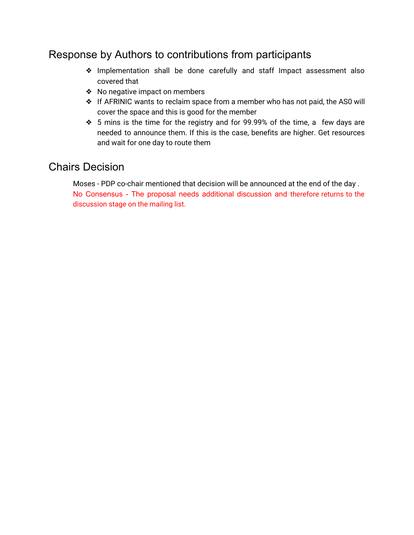### Response by Authors to contributions from participants

- ❖ Implementation shall be done carefully and staff Impact assessment also covered that
- ❖ No negative impact on members
- ❖ If AFRINIC wants to reclaim space from a member who has not paid, the AS0 will cover the space and this is good for the member
- ❖ 5 mins is the time for the registry and for 99.99% of the time, a few days are needed to announce them. If this is the case, benefits are higher. Get resources and wait for one day to route them

### Chairs Decision

Moses - PDP co-chair mentioned that decision will be announced at the end of the day . No Consensus - The proposal needs additional discussion and therefore returns to the discussion stage on the mailing list.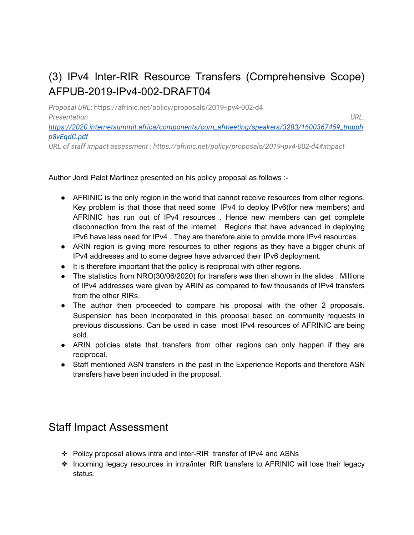# (3) IPv4 Inter-RIR Resource Transfers (Comprehensive Scope) AFPUB-2019-IPv4-002-DRAFT04

*Proposal URL*: https://afrinic.net/policy/proposals/2019-ipv4-002-d4 *Presentation URL:*

*[https://2020.internetsummit.africa/components/com\\_afmeeting/speakers/3283/1600367459\\_tmpph](https://2020.internetsummit.africa/components/com_afmeeting/speakers/3283/1600367459_tmpphp8vEqdC.pdf) [p8vEqdC.pdf](https://2020.internetsummit.africa/components/com_afmeeting/speakers/3283/1600367459_tmpphp8vEqdC.pdf)*

*URL of staff impact assessment : https://afrinic.net/policy/proposals/2019-ipv4-002-d4#impact*

#### Author Jordi Palet Martinez presented on his policy proposal as follows :-

- AFRINIC is the only region in the world that cannot receive resources from other regions. Key problem is that those that need some IPv4 to deploy IPv6(for new members) and AFRINIC has run out of IPv4 resources . Hence new members can get complete disconnection from the rest of the Internet. Regions that have advanced in deploying IPv6 have less need for IPv4 . They are therefore able to provide more IPv4 resources.
- ARIN region is giving more resources to other regions as they have a bigger chunk of IPv4 addresses and to some degree have advanced their IPv6 deployment.
- It is therefore important that the policy is reciprocal with other regions.
- The statistics from NRO(30/06/2020) for transfers was then shown in the slides . Millions of IPv4 addresses were given by ARIN as compared to few thousands of IPv4 transfers from the other RIRs.
- The author then proceeded to compare his proposal with the other 2 proposals. Suspension has been incorporated in this proposal based on community requests in previous discussions. Can be used in case most IPv4 resources of AFRINIC are being sold.
- ARIN policies state that transfers from other regions can only happen if they are reciprocal.
- Staff mentioned ASN transfers in the past in the Experience Reports and therefore ASN transfers have been included in the proposal.

### Staff Impact Assessment

- ❖ Policy proposal allows intra and inter-RIR transfer of IPv4 and ASNs
- ❖ Incoming legacy resources in intra/inter RIR transfers to AFRINIC will lose their legacy status.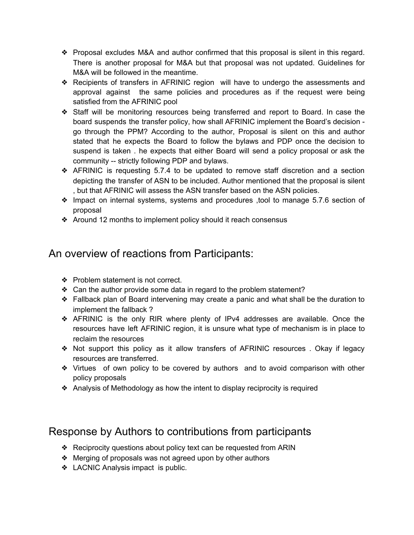- ❖ Proposal excludes M&A and author confirmed that this proposal is silent in this regard. There is another proposal for M&A but that proposal was not updated. Guidelines for M&A will be followed in the meantime.
- ❖ Recipients of transfers in AFRINIC region will have to undergo the assessments and approval against the same policies and procedures as if the request were being satisfied from the AFRINIC pool
- ❖ Staff will be monitoring resources being transferred and report to Board. In case the board suspends the transfer policy, how shall AFRINIC implement the Board's decision go through the PPM? According to the author, Proposal is silent on this and author stated that he expects the Board to follow the bylaws and PDP once the decision to suspend is taken . he expects that either Board will send a policy proposal or ask the community -- strictly following PDP and bylaws.
- ❖ AFRINIC is requesting 5.7.4 to be updated to remove staff discretion and a section depicting the transfer of ASN to be included. Author mentioned that the proposal is silent , but that AFRINIC will assess the ASN transfer based on the ASN policies.
- ❖ Impact on internal systems, systems and procedures ,tool to manage 5.7.6 section of proposal
- ❖ Around 12 months to implement policy should it reach consensus

### An overview of reactions from Participants:

- ❖ Problem statement is not correct.
- ❖ Can the author provide some data in regard to the problem statement?
- ❖ Fallback plan of Board intervening may create a panic and what shall be the duration to implement the fallback ?
- ❖ AFRINIC is the only RIR where plenty of IPv4 addresses are available. Once the resources have left AFRINIC region, it is unsure what type of mechanism is in place to reclaim the resources
- ❖ Not support this policy as it allow transfers of AFRINIC resources . Okay if legacy resources are transferred.
- ❖ Virtues of own policy to be covered by authors and to avoid comparison with other policy proposals
- ❖ Analysis of Methodology as how the intent to display reciprocity is required

### Response by Authors to contributions from participants

- ❖ Reciprocity questions about policy text can be requested from ARIN
- ❖ Merging of proposals was not agreed upon by other authors
- ❖ LACNIC Analysis impact is public.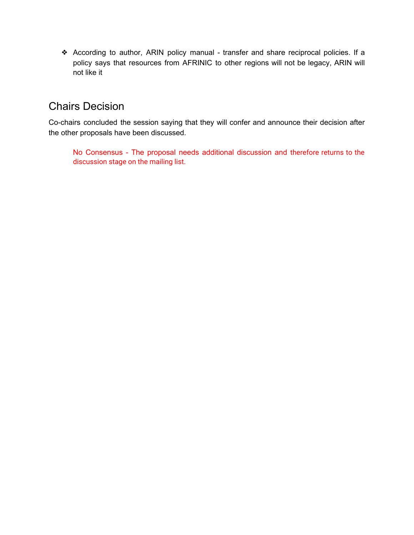❖ According to author, ARIN policy manual - transfer and share reciprocal policies. If a policy says that resources from AFRINIC to other regions will not be legacy, ARIN will not like it

## Chairs Decision

Co-chairs concluded the session saying that they will confer and announce their decision after the other proposals have been discussed.

No Consensus - The proposal needs additional discussion and therefore returns to the discussion stage on the mailing list.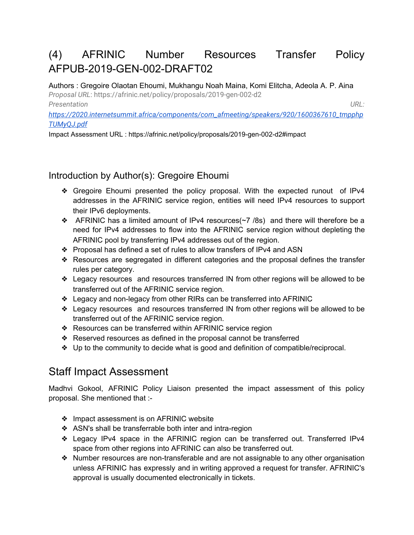## (4) AFRINIC Number Resources Transfer Policy AFPUB-2019-GEN-002-DRAFT02

Authors : Gregoire Olaotan Ehoumi, Mukhangu Noah Maina, Komi Elitcha, Adeola A. P. Aina *Proposal URL*: https://afrinic.net/policy/proposals/2019-gen-002-d2 *Presentation URL:*

*[https://2020.internetsummit.africa/components/com\\_afmeeting/speakers/920/1600367610\\_tmpphp](https://2020.internetsummit.africa/components/com_afmeeting/speakers/920/1600367610_tmpphpTUMyQJ.pdf) [TUMyQJ.pdf](https://2020.internetsummit.africa/components/com_afmeeting/speakers/920/1600367610_tmpphpTUMyQJ.pdf)*

Impact Assessment URL : https://afrinic.net/policy/proposals/2019-gen-002-d2#impact

### Introduction by Author(s): Gregoire Ehoumi

- ❖ Gregoire Ehoumi presented the policy proposal. With the expected runout of IPv4 addresses in the AFRINIC service region, entities will need IPv4 resources to support their IPv6 deployments.
- $\triangleleft$  AFRINIC has a limited amount of IPv4 resources( $\sim$ 7 /8s) and there will therefore be a need for IPv4 addresses to flow into the AFRINIC service region without depleting the AFRINIC pool by transferring IPv4 addresses out of the region.
- ❖ Proposal has defined a set of rules to allow transfers of IPv4 and ASN
- ❖ Resources are segregated in different categories and the proposal defines the transfer rules per category.
- ❖ Legacy resources and resources transferred IN from other regions will be allowed to be transferred out of the AFRINIC service region.
- ❖ Legacy and non-legacy from other RIRs can be transferred into AFRINIC
- ❖ Legacy resources and resources transferred IN from other regions will be allowed to be transferred out of the AFRINIC service region.
- ❖ Resources can be transferred within AFRINIC service region
- ❖ Reserved resources as defined in the proposal cannot be transferred
- ❖ Up to the community to decide what is good and definition of compatible/reciprocal.

## Staff Impact Assessment

Madhvi Gokool, AFRINIC Policy Liaison presented the impact assessment of this policy proposal. She mentioned that :-

- ❖ Impact assessment is on AFRINIC website
- ❖ ASN's shall be transferrable both inter and intra-region
- ❖ Legacy IPv4 space in the AFRINIC region can be transferred out. Transferred IPv4 space from other regions into AFRINIC can also be transferred out.
- ❖ Number resources are non-transferable and are not assignable to any other organisation unless AFRINIC has expressly and in writing approved a request for transfer. AFRINIC's approval is usually documented electronically in tickets.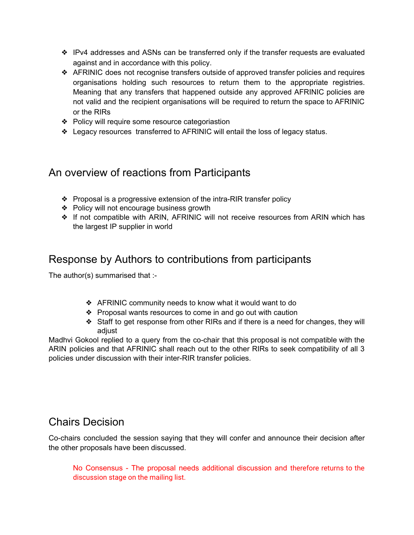- ❖ IPv4 addresses and ASNs can be transferred only if the transfer requests are evaluated against and in accordance with this policy.
- ❖ AFRINIC does not recognise transfers outside of approved transfer policies and requires organisations holding such resources to return them to the appropriate registries. Meaning that any transfers that happened outside any approved AFRINIC policies are not valid and the recipient organisations will be required to return the space to AFRINIC or the RIRs
- ❖ Policy will require some resource categoriastion
- ❖ Legacy resources transferred to AFRINIC will entail the loss of legacy status.

### An overview of reactions from Participants

- ❖ Proposal is a progressive extension of the intra-RIR transfer policy
- ❖ Policy will not encourage business growth
- ❖ If not compatible with ARIN, AFRINIC will not receive resources from ARIN which has the largest IP supplier in world

### Response by Authors to contributions from participants

The author(s) summarised that :-

- ❖ AFRINIC community needs to know what it would want to do
- ❖ Proposal wants resources to come in and go out with caution
- ❖ Staff to get response from other RIRs and if there is a need for changes, they will adjust

Madhvi Gokool replied to a query from the co-chair that this proposal is not compatible with the ARIN policies and that AFRINIC shall reach out to the other RIRs to seek compatibility of all 3 policies under discussion with their inter-RIR transfer policies.

### Chairs Decision

Co-chairs concluded the session saying that they will confer and announce their decision after the other proposals have been discussed.

No Consensus - The proposal needs additional discussion and therefore returns to the discussion stage on the mailing list.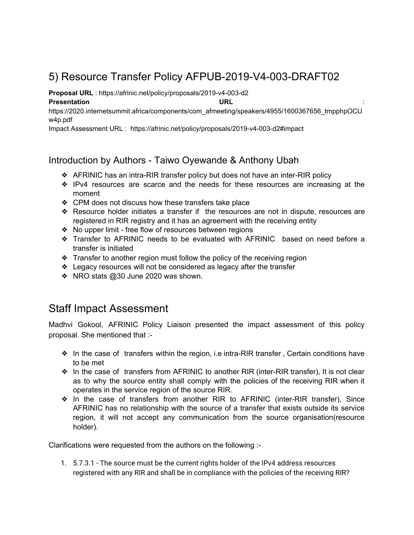## 5) Resource Transfer Policy AFPUB-2019-V4-003-DRAFT02

**Proposal URL** : https://afrinic.net/policy/proposals/2019-v4-003-d2

#### **Presentation URL** :

https://2020.internetsummit.africa/components/com\_afmeeting/speakers/4955/1600367656\_tmpphpOCU w4p.pdf

Impact Assessment URL : https://afrinic.net/policy/proposals/2019-v4-003-d2#impact

### Introduction by Authors - Taiwo Oyewande & Anthony Ubah

- ❖ AFRINIC has an intra-RIR transfer policy but does not have an inter-RIR policy
- ❖ IPv4 resources are scarce and the needs for these resources are increasing at the moment
- ❖ CPM does not discuss how these transfers take place
- ❖ Resource holder initiates a transfer if the resources are not in dispute, resources are registered in RIR registry and it has an agreement with the receiving entity
- ❖ No upper limit free flow of resources between regions
- ❖ Transfer to AFRINIC needs to be evaluated with AFRINIC based on need before a transfer is initiated
- ❖ Transfer to another region must follow the policy of the receiving region
- ❖ Legacy resources will not be considered as legacy after the transfer
- ❖ NRO stats @30 June 2020 was shown.

### Staff Impact Assessment

Madhvi Gokool, AFRINIC Policy Liaison presented the impact assessment of this policy proposal. She mentioned that :-

- ❖ In the case of transfers within the region, i.e intra-RIR transfer , Certain conditions have to be met
- ❖ In the case of transfers from AFRINIC to another RIR (inter-RIR transfer), It is not clear as to why the source entity shall comply with the policies of the receiving RIR when it operates in the service region of the source RIR.
- ❖ In the case of transfers from another RIR to AFRINIC (inter-RIR transfer), Since AFRINIC has no relationship with the source of a transfer that exists outside its service region, it will not accept any communication from the source organisation(resource holder).

Clarifications were requested from the authors on the following :-

1. 5.7.3.1 - The source must be the current rights holder of the IPv4 address resources registered with any RIR and shall be in compliance with the policies of the receiving RIR?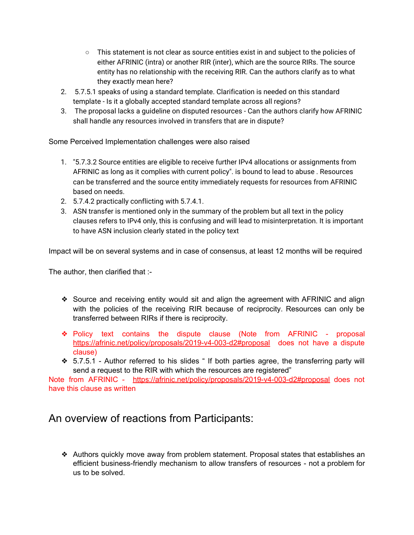- This statement is not clear as source entities exist in and subject to the policies of either AFRINIC (intra) or another RIR (inter), which are the source RIRs. The source entity has no relationship with the receiving RIR. Can the authors clarify as to what they exactly mean here?
- 2. 5.7.5.1 speaks of using a standard template. Clarification is needed on this standard template - Is it a globally accepted standard template across all regions?
- 3. The proposal lacks a guideline on disputed resources Can the authors clarify how AFRINIC shall handle any resources involved in transfers that are in dispute?

Some Perceived Implementation challenges were also raised

- 1. "5.7.3.2 Source entities are eligible to receive further IPv4 allocations or assignments from AFRINIC as long as it complies with current policy". is bound to lead to abuse . Resources can be transferred and the source entity immediately requests for resources from AFRINIC based on needs.
- 2. 5.7.4.2 practically conflicting with 5.7.4.1.
- 3. ASN transfer is mentioned only in the summary of the problem but all text in the policy clauses refers to IPv4 only, this is confusing and will lead to misinterpretation. It is important to have ASN inclusion clearly stated in the policy text

Impact will be on several systems and in case of consensus, at least 12 months will be required

The author, then clarified that :-

- ❖ Source and receiving entity would sit and align the agreement with AFRINIC and align with the policies of the receiving RIR because of reciprocity. Resources can only be transferred between RIRs if there is reciprocity.
- ❖ Policy text contains the dispute clause (Note from AFRINIC proposal <https://afrinic.net/policy/proposals/2019-v4-003-d2#proposal> does not have a dispute clause)
- ❖ 5.7.5.1 Author referred to his slides " If both parties agree, the transferring party will send a request to the RIR with which the resources are registered"

Note from AFRINIC - <https://afrinic.net/policy/proposals/2019-v4-003-d2#proposal> does not have this clause as written

### An overview of reactions from Participants:

❖ Authors quickly move away from problem statement. Proposal states that establishes an efficient business-friendly mechanism to allow transfers of resources - not a problem for us to be solved.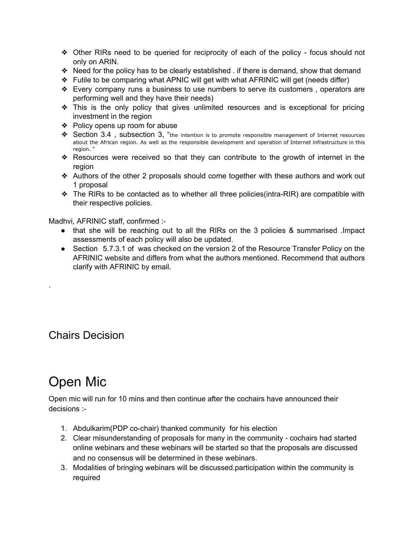- ❖ Other RIRs need to be queried for reciprocity of each of the policy focus should not only on ARIN.
- ❖ Need for the policy has to be clearly established . if there is demand, show that demand
- ❖ Futile to be comparing what APNIC will get with what AFRINIC will get (needs differ)
- ❖ Every company runs a business to use numbers to serve its customers , operators are performing well and they have their needs)
- ❖ This is the only policy that gives unlimited resources and is exceptional for pricing investment in the region
- ❖ Policy opens up room for abuse
- ❖ Section 3.4 , subsection 3, "the intention is to promote responsible management of Internet resources about the African region. As well as the responsible development and operation of Internet infrastructure in this region. "
- ❖ Resources were received so that they can contribute to the growth of internet in the region
- ❖ Authors of the other 2 proposals should come together with these authors and work out 1 proposal
- ❖ The RIRs to be contacted as to whether all three policies(intra-RIR) are compatible with their respective policies.

Madhvi, AFRINIC staff, confirmed :-

- that she will be reaching out to all the RIRs on the 3 policies & summarised .Impact assessments of each policy will also be updated.
- Section 5.7.3.1 of was checked on the version 2 of the Resource Transfer Policy on the AFRINIC website and differs from what the authors mentioned. Recommend that authors clarify with AFRINIC by email.

Chairs Decision

.

# Open Mic

Open mic will run for 10 mins and then continue after the cochairs have announced their decisions :-

- 1. Abdulkarim(PDP co-chair) thanked community for his election
- 2. Clear misunderstanding of proposals for many in the community cochairs had started online webinars and these webinars will be started so that the proposals are discussed and no consensus will be determined in these webinars.
- 3. Modalities of bringing webinars will be discussed.participation within the community is required